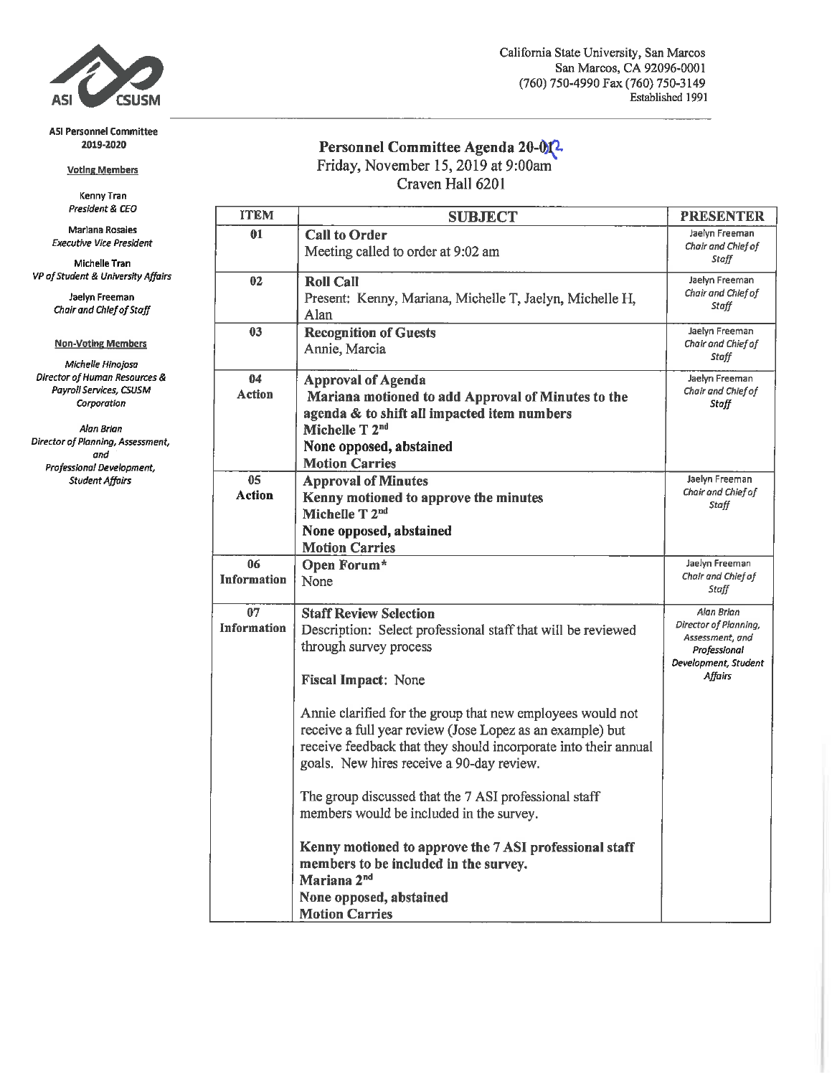

#### **ASI Personnel Committee** 2019-2020

#### **Voting Members**

Kenny Tran President & CEO

Marlana Rosales **Executive Vice President** 

Michelle Tran VP of Student & University Affairs

> Jaelyn Freeman Chair and Chief of Staff

#### **Non-Voting Members**

Michelle Hinojosa Director of Human Resources & Payroll Services, CSUSM Corporation

Alan Brian Director of Planning, Assessment, and Professional Development, **Student Affairs** 

# Personnel Committee Agenda 20-012<br>Friday, November 15, 2019 at 9:00am

Craven Hall 6201

| <b>ITEM</b>                     | <b>SUBJECT</b>                                                                                                                                                                                                                          | <b>PRESENTER</b>                                                                                          |
|---------------------------------|-----------------------------------------------------------------------------------------------------------------------------------------------------------------------------------------------------------------------------------------|-----------------------------------------------------------------------------------------------------------|
| 01                              | <b>Call to Order</b><br>Meeting called to order at 9:02 am                                                                                                                                                                              | Jaelyn Freeman<br>Chair and Chief of<br>Staff                                                             |
| 02                              | <b>Roll Call</b><br>Present: Kenny, Mariana, Michelle T, Jaelyn, Michelle H,<br>Alan                                                                                                                                                    | Jaelyn Freeman<br>Chair and Chief of<br>Staff                                                             |
| 03                              | <b>Recognition of Guests</b><br>Annie, Marcia                                                                                                                                                                                           | Jaelyn Freeman<br>Chair and Chief of<br>Staff                                                             |
| 04<br><b>Action</b>             | <b>Approval of Agenda</b><br>Mariana motioned to add Approval of Minutes to the<br>agenda & to shift all impacted item numbers<br>Michelle T 2nd<br>None opposed, abstained<br><b>Motion Carries</b>                                    | Jaelyn Freeman<br>Chair and Chief of<br>Staff                                                             |
| 0 <sub>5</sub><br><b>Action</b> | <b>Approval of Minutes</b><br>Kenny motioned to approve the minutes<br>Michelle T 2nd<br>None opposed, abstained<br><b>Motion Carries</b>                                                                                               | Jaelyn Freeman<br>Chair and Chief of<br>Staff                                                             |
| 06<br><b>Information</b>        | Open Forum*<br>None                                                                                                                                                                                                                     | Jaelyn Freeman<br>Chair and Chief of<br>Staff                                                             |
| 07<br><b>Information</b>        | <b>Staff Review Selection</b><br>Description: Select professional staff that will be reviewed<br>through survey process<br><b>Fiscal Impact: None</b>                                                                                   | Alan Brian<br>Director of Planning,<br>Assessment, and<br>Professional<br>Development, Student<br>Affairs |
|                                 | Annie clarified for the group that new employees would not<br>receive a full year review (Jose Lopez as an example) but<br>receive feedback that they should incorporate into their annual<br>goals. New hires receive a 90-day review. |                                                                                                           |
|                                 | The group discussed that the 7 ASI professional staff<br>members would be included in the survey.                                                                                                                                       |                                                                                                           |
|                                 | Kenny motioned to approve the 7 ASI professional staff<br>members to be included in the survey.<br>Mariana 2 <sup>nd</sup>                                                                                                              |                                                                                                           |
|                                 | None opposed, abstained<br><b>Motion Carries</b>                                                                                                                                                                                        |                                                                                                           |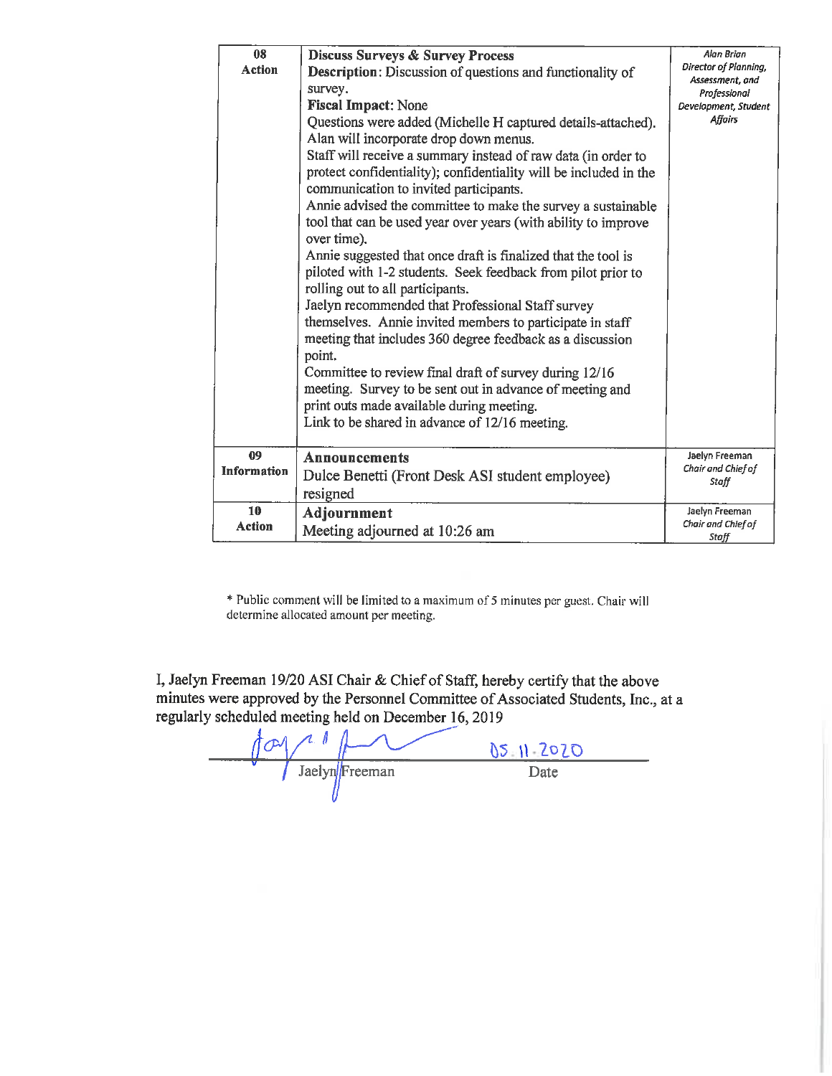| 08<br><b>Action</b>      | <b>Discuss Surveys &amp; Survey Process</b><br><b>Description:</b> Discussion of questions and functionality of<br>survey.<br><b>Fiscal Impact: None</b><br>Questions were added (Michelle H captured details-attached).<br>Alan will incorporate drop down menus.<br>Staff will receive a summary instead of raw data (in order to<br>protect confidentiality); confidentiality will be included in the<br>communication to invited participants.<br>Annie advised the committee to make the survey a sustainable<br>tool that can be used year over years (with ability to improve<br>over time).<br>Annie suggested that once draft is finalized that the tool is<br>piloted with 1-2 students. Seek feedback from pilot prior to<br>rolling out to all participants.<br>Jaelyn recommended that Professional Staff survey<br>themselves. Annie invited members to participate in staff<br>meeting that includes 360 degree feedback as a discussion<br>point.<br>Committee to review final draft of survey during 12/16<br>meeting. Survey to be sent out in advance of meeting and<br>print outs made available during meeting.<br>Link to be shared in advance of 12/16 meeting. | Alan Brian<br>Director of Planning,<br>Assessment, and<br>Professional<br>Development, Student<br><b>Affairs</b> |
|--------------------------|----------------------------------------------------------------------------------------------------------------------------------------------------------------------------------------------------------------------------------------------------------------------------------------------------------------------------------------------------------------------------------------------------------------------------------------------------------------------------------------------------------------------------------------------------------------------------------------------------------------------------------------------------------------------------------------------------------------------------------------------------------------------------------------------------------------------------------------------------------------------------------------------------------------------------------------------------------------------------------------------------------------------------------------------------------------------------------------------------------------------------------------------------------------------------------------|------------------------------------------------------------------------------------------------------------------|
| 09<br><b>Information</b> | Announcements<br>Dulce Benetti (Front Desk ASI student employee)<br>resigned                                                                                                                                                                                                                                                                                                                                                                                                                                                                                                                                                                                                                                                                                                                                                                                                                                                                                                                                                                                                                                                                                                           | Jaelyn Freeman<br>Chair and Chief of<br>Staff                                                                    |
| 10<br>Action             | Adjournment<br>Meeting adjourned at 10:26 am                                                                                                                                                                                                                                                                                                                                                                                                                                                                                                                                                                                                                                                                                                                                                                                                                                                                                                                                                                                                                                                                                                                                           | Jaelyn Freeman<br>Chair and Chief of<br>Staff                                                                    |

\* Public comment will be limited to a maximum of 5 minutes per guest. Chair will determine allocated amount per meeting.

I, Jaelyn Freeman 19/20 ASI Chair & Chief of Staff, hereby certify that the above minutes were approved by the Personnel Committee of Associated Students, Inc., at a regularly scheduled meeting held on December 16, 2019

 $\frac{\int \frac{\mathrm{d}^2 y}{\mathrm{d} x \mathrm{d} y}{\int \frac{\mathrm{d}^2 y}{\mathrm{d} x \mathrm{d} y}{\int \frac{\mathrm{d}^2 y}{\mathrm{d} x \mathrm{d} y}{\int \frac{\mathrm{d}^2 y}{\mathrm{d} x \mathrm{d} y}{\mathrm{d} y}}}}$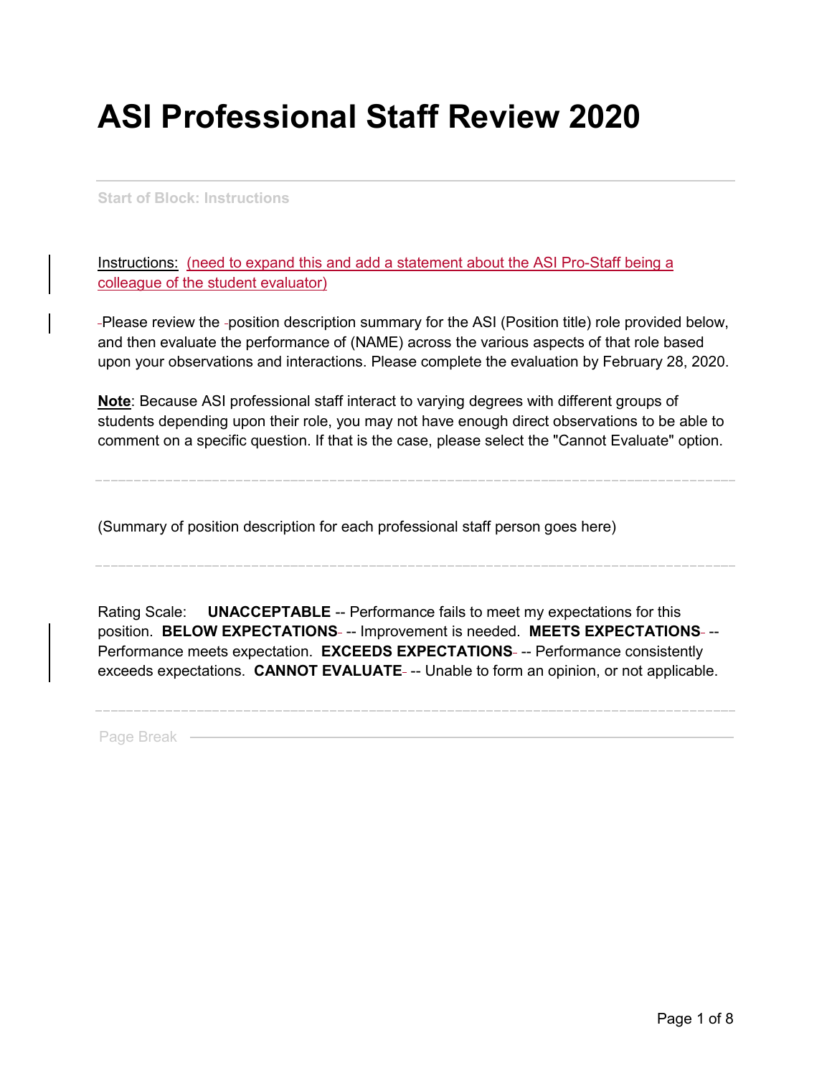# **ASI Professional Staff Review 2020**

**Start of Block: Instructions**

Instructions: (need to expand this and add a statement about the ASI Pro-Staff being a colleague of the student evaluator)

-Please review the -position description summary for the ASI (Position title) role provided below, and then evaluate the performance of (NAME) across the various aspects of that role based upon your observations and interactions. Please complete the evaluation by February 28, 2020.

**Note**: Because ASI professional staff interact to varying degrees with different groups of students depending upon their role, you may not have enough direct observations to be able to comment on a specific question. If that is the case, please select the "Cannot Evaluate" option.

(Summary of position description for each professional staff person goes here)

Rating Scale: **UNACCEPTABLE** -- Performance fails to meet my expectations for this position. **BELOW EXPECTATIONS** -- Improvement is needed. **MEETS EXPECTATIONS** -- Performance meets expectation. **EXCEEDS EXPECTATIONS** -- Performance consistently exceeds expectations. **CANNOT EVALUATE** -- Unable to form an opinion, or not applicable.

Page Break -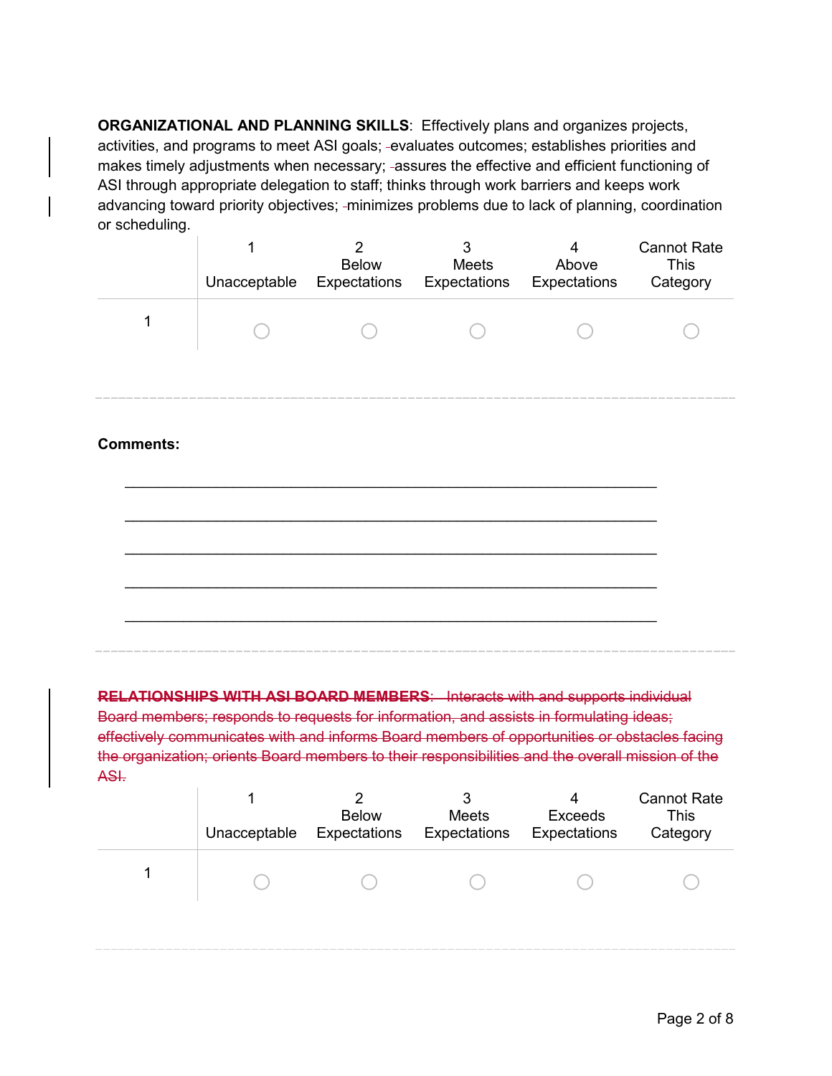**ORGANIZATIONAL AND PLANNING SKILLS**: Effectively plans and organizes projects, activities, and programs to meet ASI goals; -evaluates outcomes; establishes priorities and makes timely adjustments when necessary; -assures the effective and efficient functioning of ASI through appropriate delegation to staff; thinks through work barriers and keeps work advancing toward priority objectives; -minimizes problems due to lack of planning, coordination or scheduling.

| Unacceptable | <b>Below</b><br>Expectations | Meets<br>Expectations | Above<br>Expectations | <b>Cannot Rate</b><br>This<br>Category |
|--------------|------------------------------|-----------------------|-----------------------|----------------------------------------|
|              |                              |                       |                       |                                        |

### **Comments:**



**RELATIONSHIPS WITH ASI BOARD MEMBERS**: Interacts with and supports individual Board members; responds to requests for information, and assists in formulating ideas; effectively communicates with and informs Board members of opportunities or obstacles facing the organization; orients Board members to their responsibilities and the overall mission of the ASI.

| Unacceptable | <b>Below</b><br>Expectations | Meets<br>Expectations | <b>Exceeds</b><br>Expectations | <b>Cannot Rate</b><br>This<br>Category |
|--------------|------------------------------|-----------------------|--------------------------------|----------------------------------------|
|              |                              |                       |                                |                                        |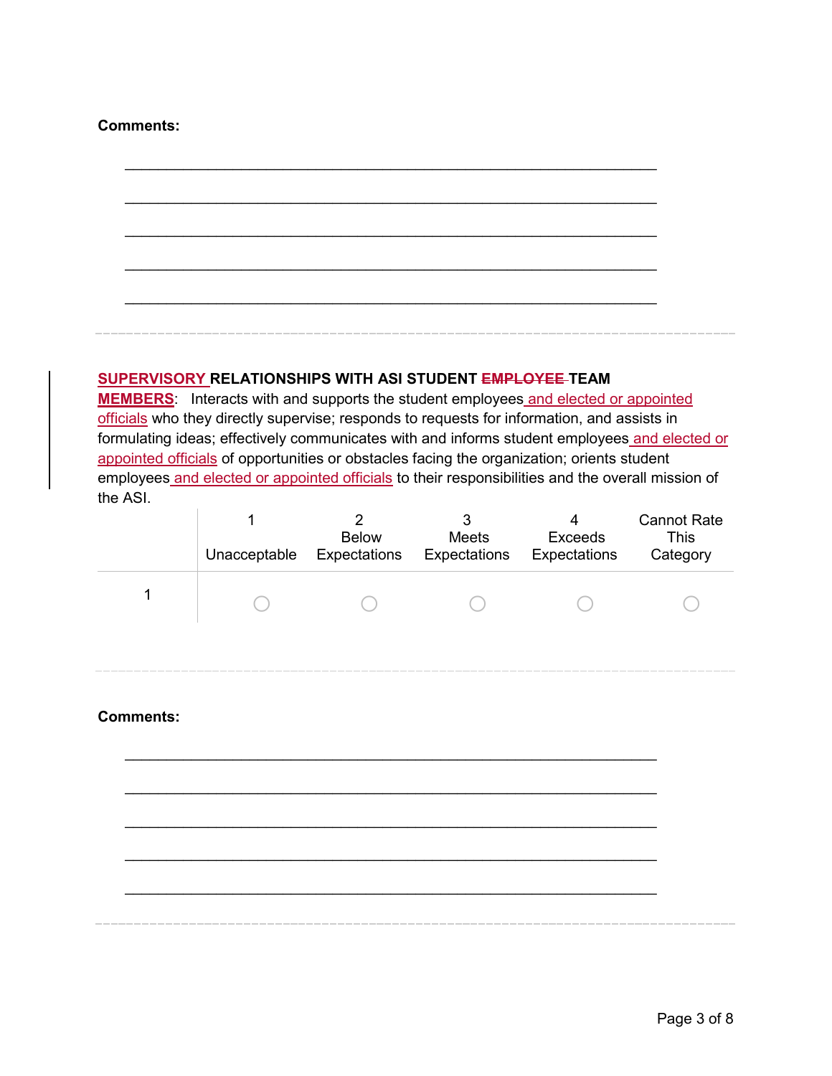### **Comments:**

## **SUPERVISORY RELATIONSHIPS WITH ASI STUDENT EMPLOYEE TEAM**

**MEMBERS**: Interacts with and supports the student employees and elected or appointed officials who they directly supervise; responds to requests for information, and assists in formulating ideas; effectively communicates with and informs student employees and elected or appointed officials of opportunities or obstacles facing the organization; orients student employees and elected or appointed officials to their responsibilities and the overall mission of the ASI.

\_\_\_\_\_\_\_\_\_\_\_\_\_\_\_\_\_\_\_\_\_\_\_\_\_\_\_\_\_\_\_\_\_\_\_\_\_\_\_\_\_\_\_\_\_\_\_\_\_\_\_\_\_\_\_\_\_\_\_\_\_\_\_\_

\_\_\_\_\_\_\_\_\_\_\_\_\_\_\_\_\_\_\_\_\_\_\_\_\_\_\_\_\_\_\_\_\_\_\_\_\_\_\_\_\_\_\_\_\_\_\_\_\_\_\_\_\_\_\_\_\_\_\_\_\_\_\_\_

\_\_\_\_\_\_\_\_\_\_\_\_\_\_\_\_\_\_\_\_\_\_\_\_\_\_\_\_\_\_\_\_\_\_\_\_\_\_\_\_\_\_\_\_\_\_\_\_\_\_\_\_\_\_\_\_\_\_\_\_\_\_\_\_

\_\_\_\_\_\_\_\_\_\_\_\_\_\_\_\_\_\_\_\_\_\_\_\_\_\_\_\_\_\_\_\_\_\_\_\_\_\_\_\_\_\_\_\_\_\_\_\_\_\_\_\_\_\_\_\_\_\_\_\_\_\_\_\_

\_\_\_\_\_\_\_\_\_\_\_\_\_\_\_\_\_\_\_\_\_\_\_\_\_\_\_\_\_\_\_\_\_\_\_\_\_\_\_\_\_\_\_\_\_\_\_\_\_\_\_\_\_\_\_\_\_\_\_\_\_\_\_\_

| Unacceptable | <b>Below</b><br>Expectations | Meets<br>Expectations | <b>Exceeds</b><br>Expectations | <b>Cannot Rate</b><br>This<br>Category |
|--------------|------------------------------|-----------------------|--------------------------------|----------------------------------------|
|              |                              |                       |                                |                                        |

# **Comments:**

\_\_\_\_\_\_\_\_\_\_\_\_\_\_\_\_\_\_\_\_\_\_\_\_\_\_\_\_\_\_\_\_\_\_\_\_\_\_\_\_\_\_\_\_\_\_\_\_\_\_\_\_\_\_\_\_\_\_\_\_\_\_\_\_ \_\_\_\_\_\_\_\_\_\_\_\_\_\_\_\_\_\_\_\_\_\_\_\_\_\_\_\_\_\_\_\_\_\_\_\_\_\_\_\_\_\_\_\_\_\_\_\_\_\_\_\_\_\_\_\_\_\_\_\_\_\_\_\_ \_\_\_\_\_\_\_\_\_\_\_\_\_\_\_\_\_\_\_\_\_\_\_\_\_\_\_\_\_\_\_\_\_\_\_\_\_\_\_\_\_\_\_\_\_\_\_\_\_\_\_\_\_\_\_\_\_\_\_\_\_\_\_\_ \_\_\_\_\_\_\_\_\_\_\_\_\_\_\_\_\_\_\_\_\_\_\_\_\_\_\_\_\_\_\_\_\_\_\_\_\_\_\_\_\_\_\_\_\_\_\_\_\_\_\_\_\_\_\_\_\_\_\_\_\_\_\_\_

\_\_\_\_\_\_\_\_\_\_\_\_\_\_\_\_\_\_\_\_\_\_\_\_\_\_\_\_\_\_\_\_\_\_\_\_\_\_\_\_\_\_\_\_\_\_\_\_\_\_\_\_\_\_\_\_\_\_\_\_\_\_\_\_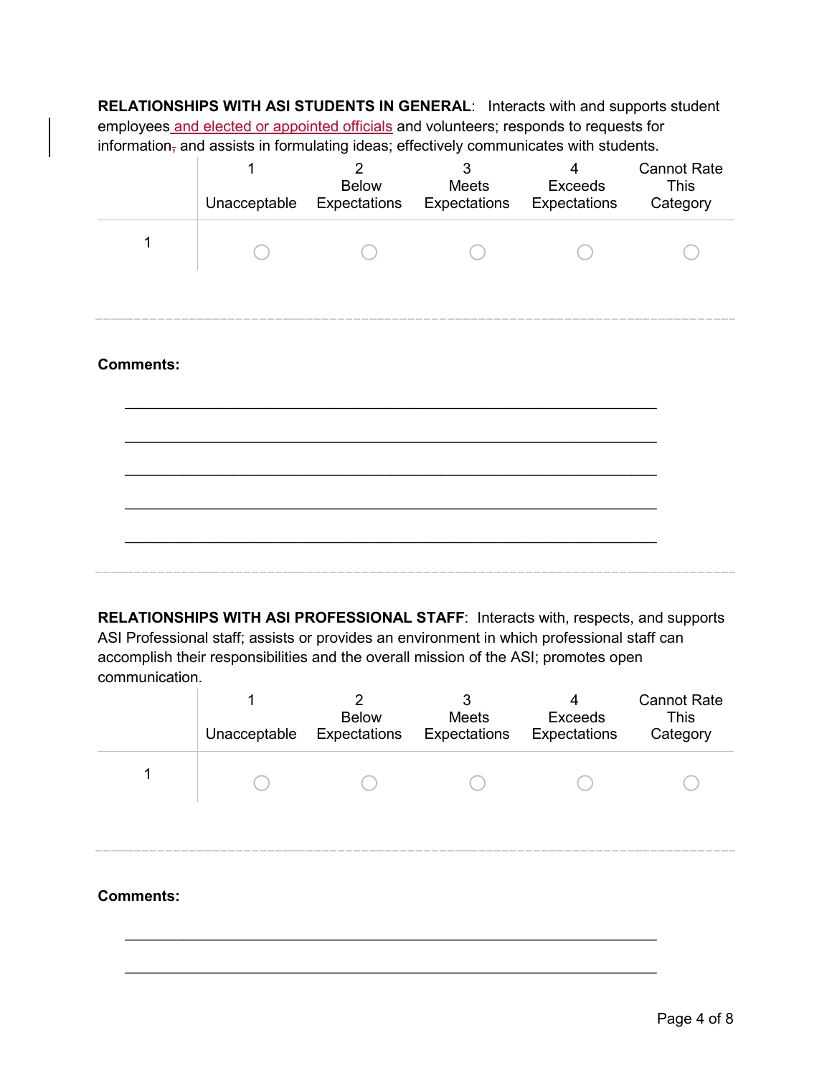**RELATIONSHIPS WITH ASI STUDENTS IN GENERAL**: Interacts with and supports student employees and elected or appointed officials and volunteers; responds to requests for  $information<sub>7</sub>$  and assists in formulating ideas; effectively communicates with students.

|                  | Unacceptable | $\overline{2}$<br><b>Below</b><br>Expectations | 3<br>Meets<br><b>Expectations</b> Expectations | 4<br>Exceeds | <b>Cannot Rate</b><br><b>This</b><br>Category |
|------------------|--------------|------------------------------------------------|------------------------------------------------|--------------|-----------------------------------------------|
| 1                |              |                                                |                                                |              |                                               |
| <b>Comments:</b> |              |                                                |                                                |              |                                               |
|                  |              |                                                |                                                |              |                                               |
|                  |              |                                                |                                                |              |                                               |

**RELATIONSHIPS WITH ASI PROFESSIONAL STAFF**: Interacts with, respects, and supports ASI Professional staff; assists or provides an environment in which professional staff can accomplish their responsibilities and the overall mission of the ASI; promotes open communication.

|                  | 2<br><b>Below</b><br>Unacceptable Expectations | Meets<br><b>Expectations</b> Expectations | Exceeds | <b>Cannot Rate</b><br>This<br>Category |
|------------------|------------------------------------------------|-------------------------------------------|---------|----------------------------------------|
|                  |                                                |                                           |         |                                        |
|                  |                                                |                                           |         |                                        |
| <b>Comments:</b> |                                                |                                           |         |                                        |

\_\_\_\_\_\_\_\_\_\_\_\_\_\_\_\_\_\_\_\_\_\_\_\_\_\_\_\_\_\_\_\_\_\_\_\_\_\_\_\_\_\_\_\_\_\_\_\_\_\_\_\_\_\_\_\_\_\_\_\_\_\_\_\_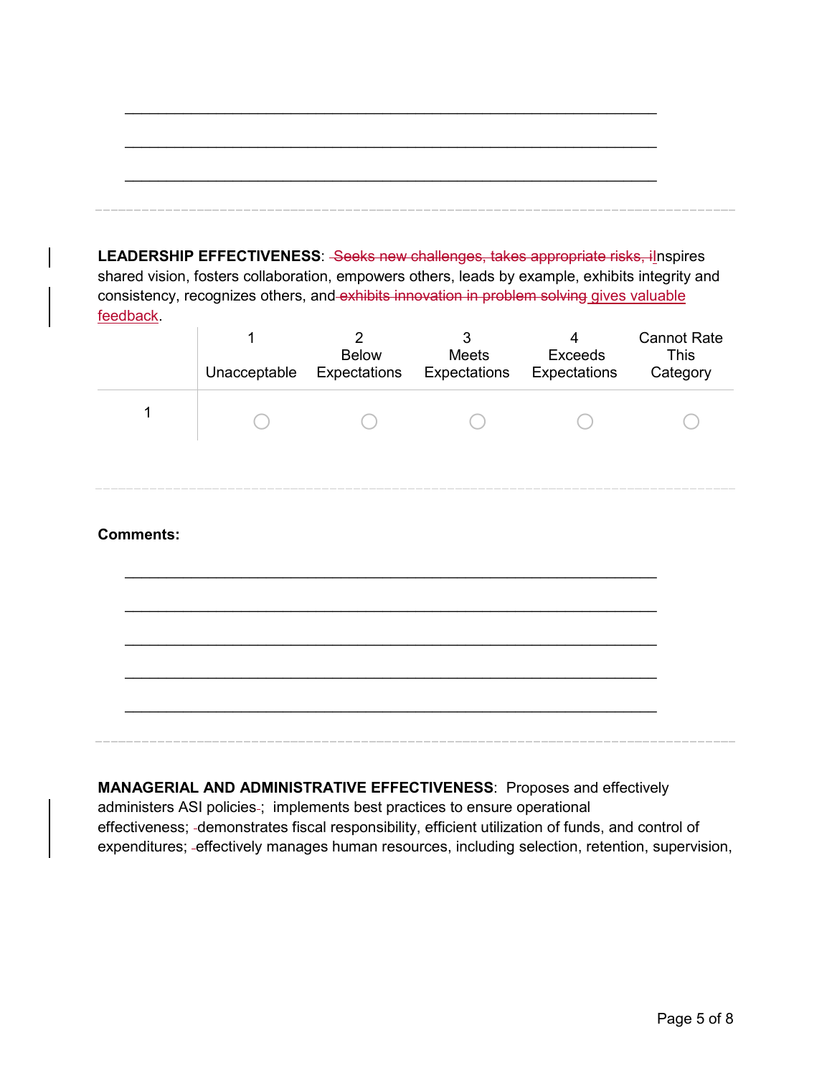**LEADERSHIP EFFECTIVENESS: - Seeks new challenges, takes appropriate risks, ilnspires** shared vision, fosters collaboration, empowers others, leads by example, exhibits integrity and consistency, recognizes others, and exhibits innovation in problem solving gives valuable feedback.

|                  | Unacceptable | $\overline{2}$<br><b>Below</b> | 3<br>Meets<br>Expectations Expectations Expectations | 4<br><b>Exceeds</b> | <b>Cannot Rate</b><br><b>This</b><br>Category |
|------------------|--------------|--------------------------------|------------------------------------------------------|---------------------|-----------------------------------------------|
| 1                |              |                                |                                                      |                     |                                               |
|                  |              |                                |                                                      |                     |                                               |
| <b>Comments:</b> |              |                                |                                                      |                     |                                               |
|                  |              |                                |                                                      |                     |                                               |
|                  |              |                                |                                                      |                     |                                               |
|                  |              |                                |                                                      |                     |                                               |
|                  |              |                                |                                                      |                     |                                               |

**MANAGERIAL AND ADMINISTRATIVE EFFECTIVENESS**: Proposes and effectively administers ASI policies-; implements best practices to ensure operational effectiveness; demonstrates fiscal responsibility, efficient utilization of funds, and control of expenditures; effectively manages human resources, including selection, retention, supervision,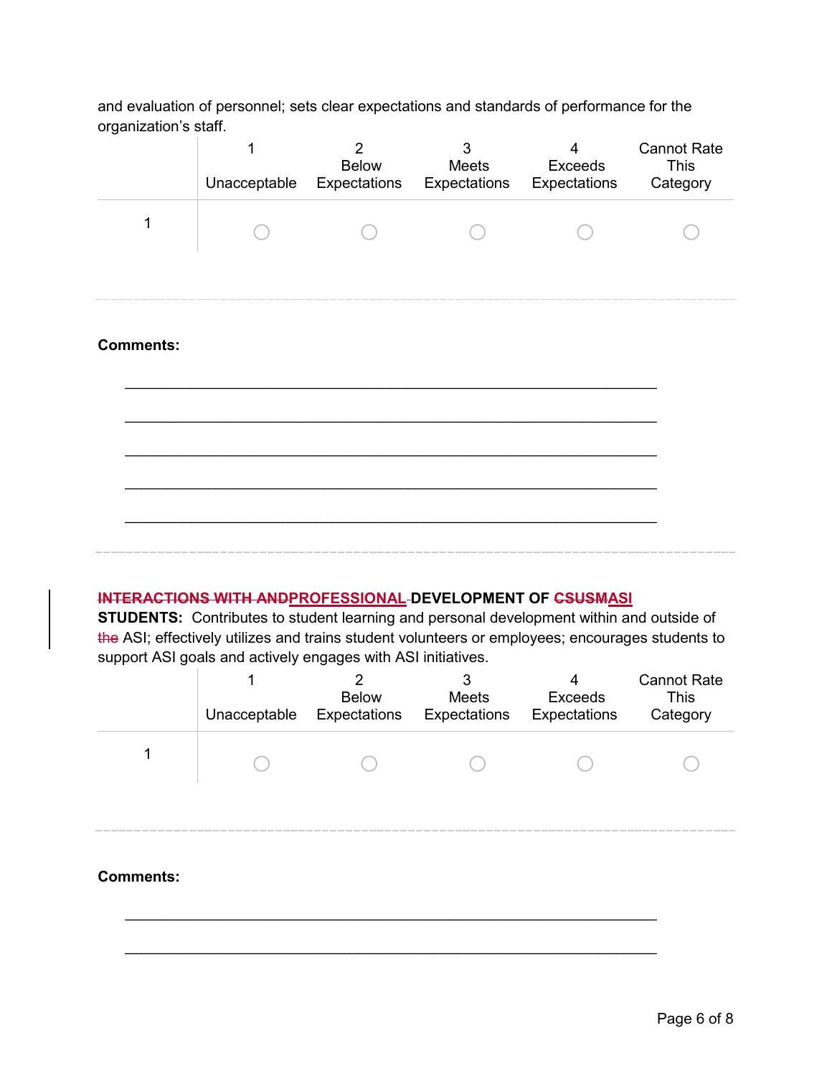and evaluation of personnel; sets clear expectations and standards of performance for the organization's staff.

|                  | 1<br>Unacceptable | $\overline{2}$<br>Below<br>Expectations | 3<br>Meets<br><b>Expectations</b> Expectations | 4<br>Exceeds | <b>Cannot Rate</b><br><b>This</b><br>Category |
|------------------|-------------------|-----------------------------------------|------------------------------------------------|--------------|-----------------------------------------------|
| 1                |                   |                                         |                                                |              |                                               |
|                  |                   |                                         |                                                |              |                                               |
| <b>Comments:</b> |                   |                                         |                                                |              |                                               |
|                  |                   |                                         |                                                |              |                                               |
|                  |                   |                                         |                                                |              |                                               |
|                  |                   |                                         |                                                |              |                                               |
|                  |                   |                                         |                                                |              |                                               |

## **INTERACTIONS WITH ANDPROFESSIONAL DEVELOPMENT OF CSUSMASI**

**STUDENTS:** Contributes to student learning and personal development within and outside of the ASI; effectively utilizes and trains student volunteers or employees; encourages students to support ASI goals and actively engages with ASI initiatives.

|                  | Unacceptable | າ<br><b>Below</b><br>Expectations | 3<br><b>Meets</b><br>Expectations | Exceeds<br>Expectations | <b>Cannot Rate</b><br><b>This</b><br>Category |
|------------------|--------------|-----------------------------------|-----------------------------------|-------------------------|-----------------------------------------------|
|                  |              |                                   |                                   |                         |                                               |
|                  |              |                                   |                                   |                         |                                               |
| <b>Comments:</b> |              |                                   |                                   |                         |                                               |

\_\_\_\_\_\_\_\_\_\_\_\_\_\_\_\_\_\_\_\_\_\_\_\_\_\_\_\_\_\_\_\_\_\_\_\_\_\_\_\_\_\_\_\_\_\_\_\_\_\_\_\_\_\_\_\_\_\_\_\_\_\_\_\_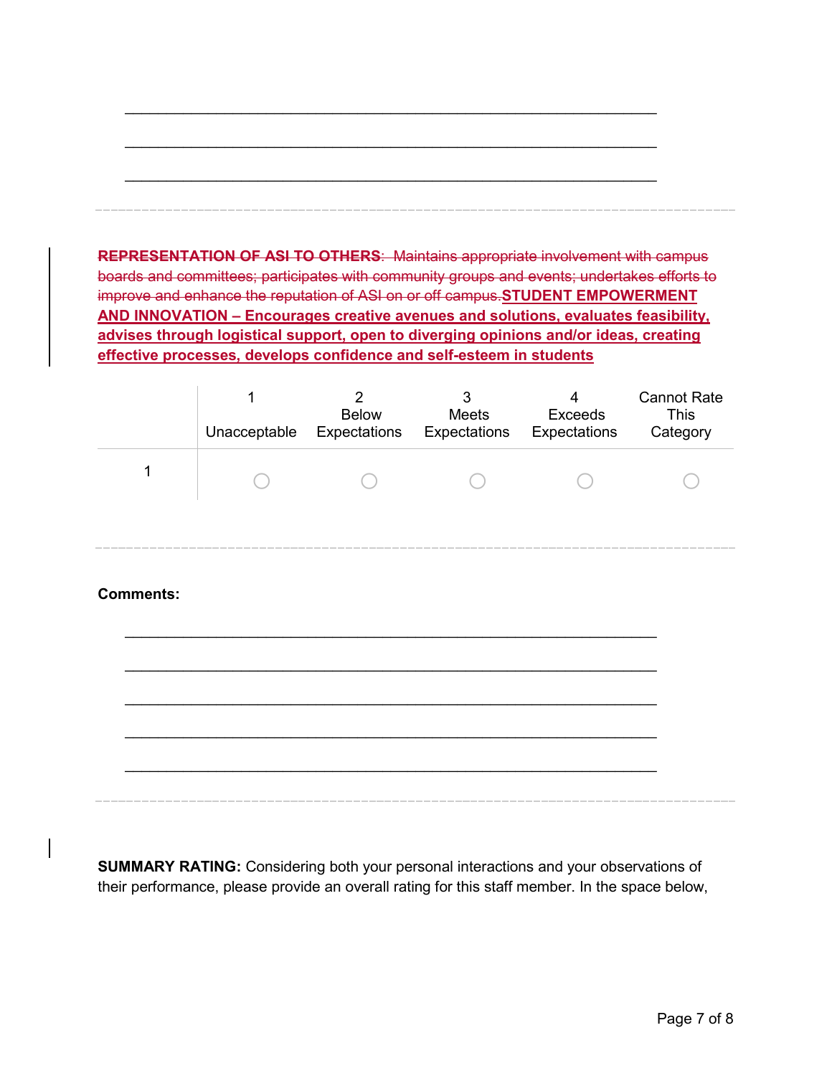**REPRESENTATION OF ASI TO OTHERS**: Maintains appropriate involvement with campus boards and committees; participates with community groups and events; undertakes efforts to improve and enhance the reputation of ASI on or off campus.**STUDENT EMPOWERMENT AND INNOVATION – Encourages creative avenues and solutions, evaluates feasibility, advises through logistical support, open to diverging opinions and/or ideas, creating effective processes, develops confidence and self-esteem in students**

| Unacceptable | <b>Below</b><br>Expectations | Meets<br>Expectations | 4<br><b>Exceeds</b><br>Expectations | <b>Cannot Rate</b><br>This<br>Category |
|--------------|------------------------------|-----------------------|-------------------------------------|----------------------------------------|
|              |                              |                       |                                     |                                        |

## **Comments:**

**SUMMARY RATING:** Considering both your personal interactions and your observations of their performance, please provide an overall rating for this staff member. In the space below,